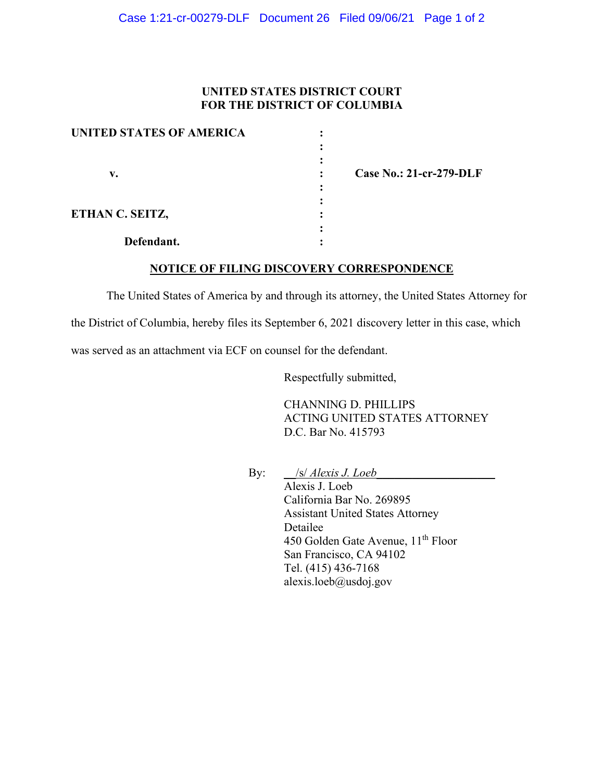## **UNITED STATES DISTRICT COURT FOR THE DISTRICT OF COLUMBIA**

| <b>UNITED STATES OF AMERICA</b> |                         |
|---------------------------------|-------------------------|
|                                 |                         |
|                                 |                         |
| v.                              | Case No.: 21-cr-279-DLF |
|                                 |                         |
|                                 |                         |
| ETHAN C. SEITZ,                 |                         |
|                                 |                         |
| Defendant.                      |                         |

**NOTICE OF FILING DISCOVERY CORRESPONDENCE**

The United States of America by and through its attorney, the United States Attorney for

the District of Columbia, hereby files its September 6, 2021 discovery letter in this case, which

was served as an attachment via ECF on counsel for the defendant.

Respectfully submitted,

CHANNING D. PHILLIPS ACTING UNITED STATES ATTORNEY D.C. Bar No. 415793

By: <u>\_\_/s/ *Alexis J. Loeb\_\_\_\_\_\_\_\_\_\_\_\_\_\_\_\_\_\_\_*</u>

Alexis J. Loeb California Bar No. 269895 Assistant United States Attorney Detailee 450 Golden Gate Avenue, 11<sup>th</sup> Floor San Francisco, CA 94102 Tel. (415) 436-7168 alexis.loeb@usdoj.gov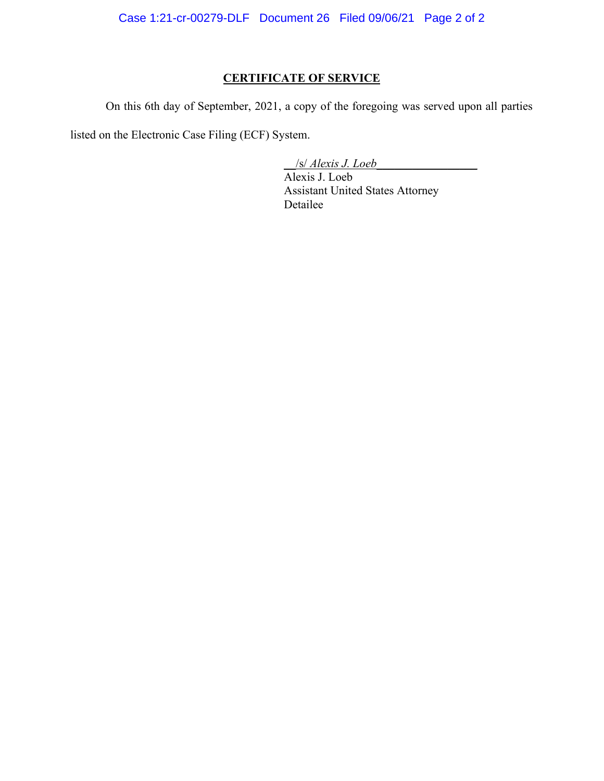Case 1:21-cr-00279-DLF Document 26 Filed 09/06/21 Page 2 of 2

## **CERTIFICATE OF SERVICE**

On this 6th day of September, 2021, a copy of the foregoing was served upon all parties

listed on the Electronic Case Filing (ECF) System.

\_\_/s/ *Alexis J. Loeb\_\_\_\_\_\_\_\_\_\_\_\_\_\_\_\_\_*

Alexis J. Loeb Assistant United States Attorney Detailee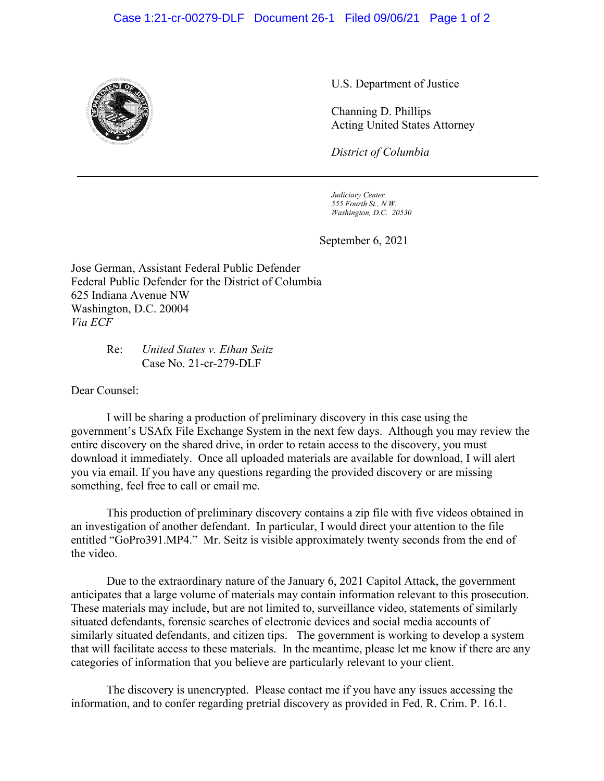## Case 1:21-cr-00279-DLF Document 26-1 Filed 09/06/21 Page 1 of 2



U.S. Department of Justice

Channing D. Phillips Acting United States Attorney

*District of Columbia*

*Judiciary Center 555 Fourth St., N.W. Washington, D.C. 20530*

September 6, 2021

Jose German, Assistant Federal Public Defender Federal Public Defender for the District of Columbia 625 Indiana Avenue NW Washington, D.C. 20004 *Via ECF*

> Re: *United States v. Ethan Seitz* Case No. 21-cr-279-DLF

Dear Counsel:

I will be sharing a production of preliminary discovery in this case using the government's USAfx File Exchange System in the next few days. Although you may review the entire discovery on the shared drive, in order to retain access to the discovery, you must download it immediately. Once all uploaded materials are available for download, I will alert you via email. If you have any questions regarding the provided discovery or are missing something, feel free to call or email me.

This production of preliminary discovery contains a zip file with five videos obtained in an investigation of another defendant. In particular, I would direct your attention to the file entitled "GoPro391.MP4." Mr. Seitz is visible approximately twenty seconds from the end of the video.

Due to the extraordinary nature of the January 6, 2021 Capitol Attack, the government anticipates that a large volume of materials may contain information relevant to this prosecution. These materials may include, but are not limited to, surveillance video, statements of similarly situated defendants, forensic searches of electronic devices and social media accounts of similarly situated defendants, and citizen tips. The government is working to develop a system that will facilitate access to these materials. In the meantime, please let me know if there are any categories of information that you believe are particularly relevant to your client.

The discovery is unencrypted. Please contact me if you have any issues accessing the information, and to confer regarding pretrial discovery as provided in Fed. R. Crim. P. 16.1.